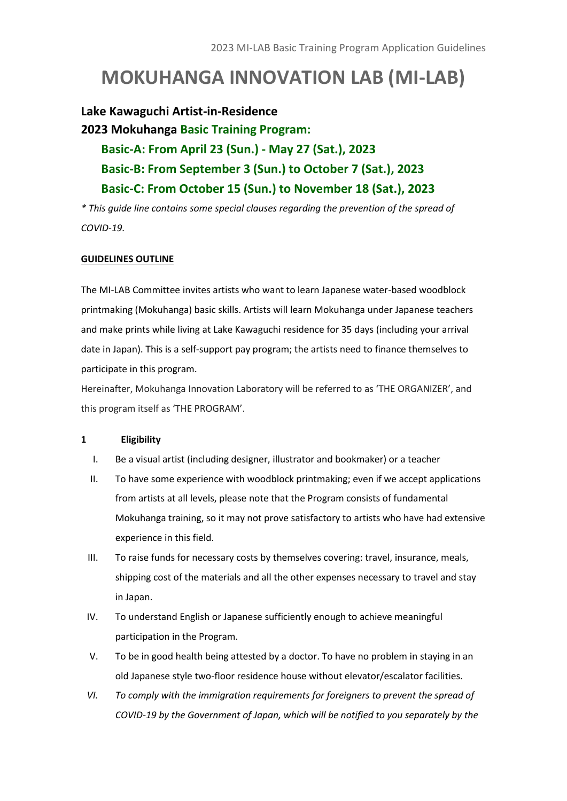# **MOKUHANGA INNOVATION LAB (MI-LAB)**

### **Lake Kawaguchi Artist-in-Residence**

**2023 Mokuhanga Basic Training Program: Basic-A: From April 23 (Sun.) - May 27 (Sat.), 2023 Basic-B: From September 3 (Sun.) to October 7 (Sat.), 2023 Basic-C: From October 15 (Sun.) to November 18 (Sat.), 2023**

*\* This guide line contains some special clauses regarding the prevention of the spread of COVID-19.*

#### **GUIDELINES OUTLINE**

The MI-LAB Committee invites artists who want to learn Japanese water-based woodblock printmaking (Mokuhanga) basic skills. Artists will learn Mokuhanga under Japanese teachers and make prints while living at Lake Kawaguchi residence for 35 days (including your arrival date in Japan). This is a self-support pay program; the artists need to finance themselves to participate in this program.

Hereinafter, Mokuhanga Innovation Laboratory will be referred to as 'THE ORGANIZER', and this program itself as 'THE PROGRAM'.

#### **1 Eligibility**

- I. Be a visual artist (including designer, illustrator and bookmaker) or a teacher
- II. To have some experience with woodblock printmaking; even if we accept applications from artists at all levels, please note that the Program consists of fundamental Mokuhanga training, so it may not prove satisfactory to artists who have had extensive experience in this field.
- III. To raise funds for necessary costs by themselves covering: travel, insurance, meals, shipping cost of the materials and all the other expenses necessary to travel and stay in Japan.
- IV. To understand English or Japanese sufficiently enough to achieve meaningful participation in the Program.
- V. To be in good health being attested by a doctor. To have no problem in staying in an old Japanese style two-floor residence house without elevator/escalator facilities.
- *VI. To comply with the immigration requirements for foreigners to prevent the spread of COVID-19 by the Government of Japan, which will be notified to you separately by the*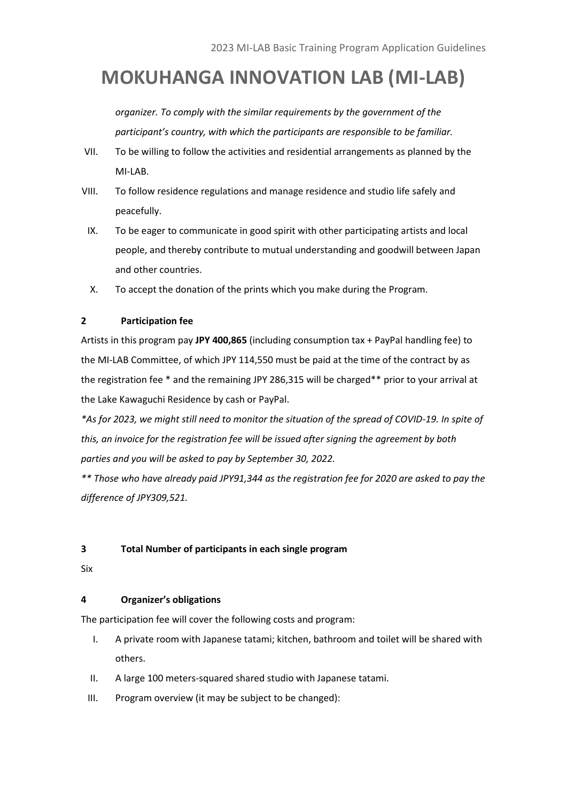# **MOKUHANGA INNOVATION LAB (MI-LAB)**

*organizer. To comply with the similar requirements by the government of the participant's country, with which the participants are responsible to be familiar.* 

- VII. To be willing to follow the activities and residential arrangements as planned by the MI-LAB.
- VIII. To follow residence regulations and manage residence and studio life safely and peacefully.
- IX. To be eager to communicate in good spirit with other participating artists and local people, and thereby contribute to mutual understanding and goodwill between Japan and other countries.
- X. To accept the donation of the prints which you make during the Program.

#### **2 Participation fee**

Artists in this program pay **JPY 400,865** (including consumption tax + PayPal handling fee) to the MI-LAB Committee, of which JPY 114,550 must be paid at the time of the contract by as the registration fee \* and the remaining JPY 286,315 will be charged\*\* prior to your arrival at the Lake Kawaguchi Residence by cash or PayPal.

*\*As for 2023, we might still need to monitor the situation of the spread of COVID-19. In spite of this, an invoice for the registration fee will be issued after signing the agreement by both parties and you will be asked to pay by September 30, 2022.* 

*\*\* Those who have already paid JPY91,344 as the registration fee for 2020 are asked to pay the difference of JPY309,521.*

#### **3 Total Number of participants in each single program**

Six

#### **4 Organizer's obligations**

The participation fee will cover the following costs and program:

- I. A private room with Japanese tatami; kitchen, bathroom and toilet will be shared with others.
- II. A large 100 meters-squared shared studio with Japanese tatami.
- III. Program overview (it may be subject to be changed):